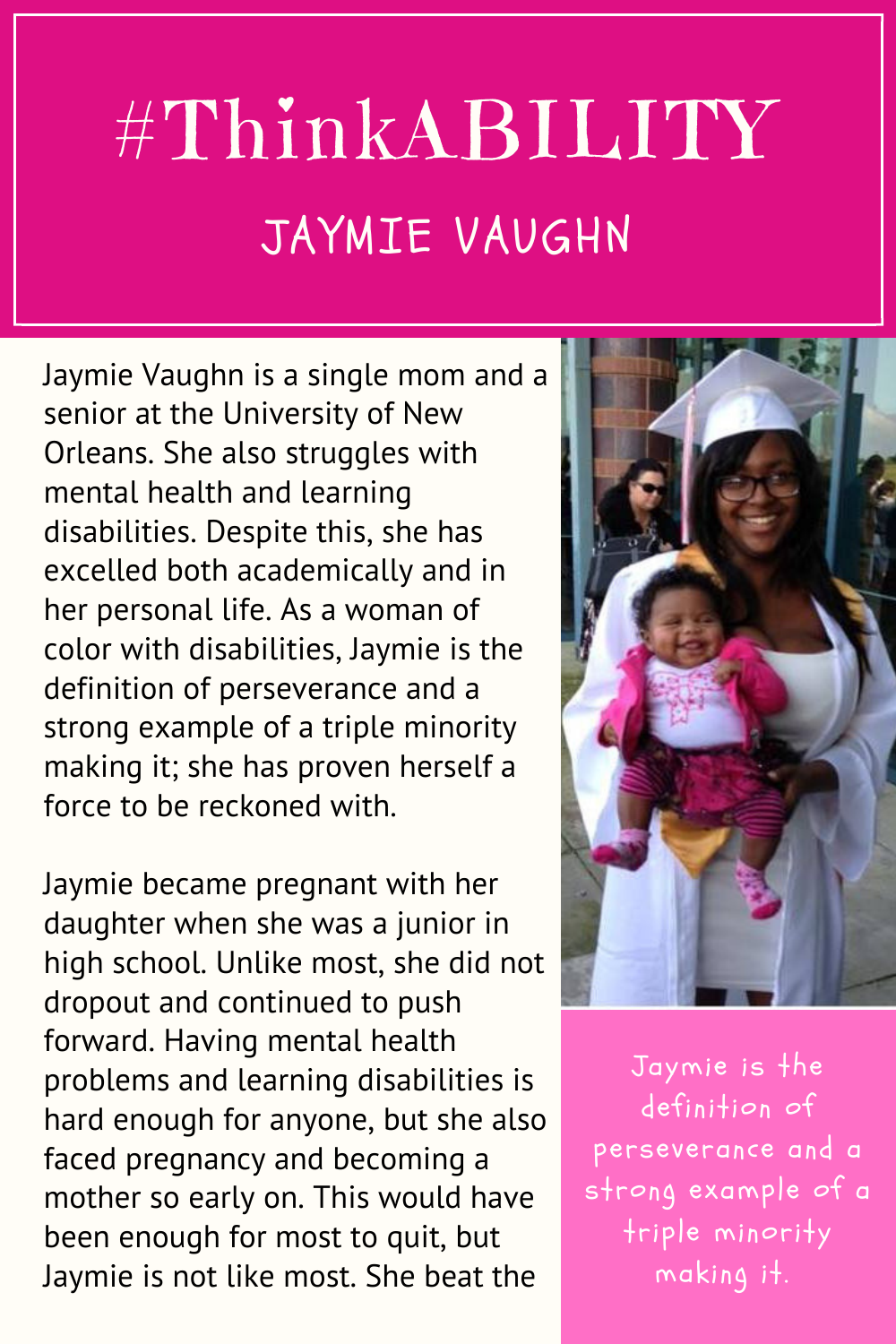## #ThinkABILITY JAYMIE VAUGHN

Jaymie Vaughn is a single mom and a senior at the University of New Orleans. She also struggles with mental health and learning disabilities. Despite this, she has excelled both academically and in her personal life. As a woman of color with disabilities, Jaymie is the definition of perseverance and a strong example of a triple minority making it; she has proven herself a force to be reckoned with.

Jaymie became pregnant with her daughter when she was a junior in high school. Unlike most, she did not dropout and continued to push forward. Having mental health problems and learning disabilities is hard enough for anyone, but she also faced pregnancy and becoming a mother so early on. This would have been enough for most to quit, but Jaymie is not like most. She beat the



Jaymie is the definition of perseverance and a strong example of a triple minority making it.